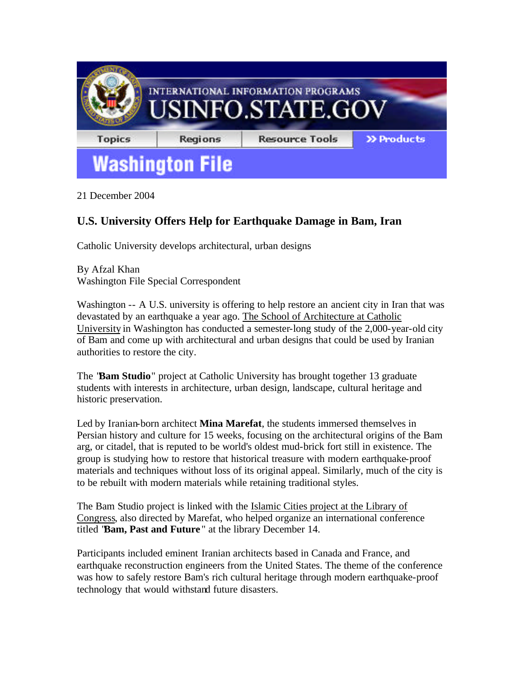

21 December 2004

## **U.S. University Offers Help for Earthquake Damage in Bam, Iran**

Catholic University develops architectural, urban designs

By Afzal Khan Washington File Special Correspondent

Washington -- A U.S. university is offering to help restore an ancient city in Iran that was devastated by an earthquake a year ago. The School of Architecture at Catholic University in Washington has conducted a semester-long study of the 2,000-year-old city of Bam and come up with architectural and urban designs that could be used by Iranian authorities to restore the city.

The "**Bam Studio**" project at Catholic University has brought together 13 graduate students with interests in architecture, urban design, landscape, cultural heritage and historic preservation.

Led by Iranian-born architect **Mina Marefat**, the students immersed themselves in Persian history and culture for 15 weeks, focusing on the architectural origins of the Bam arg, or citadel, that is reputed to be world's oldest mud-brick fort still in existence. The group is studying how to restore that historical treasure with modern earthquake-proof materials and techniques without loss of its original appeal. Similarly, much of the city is to be rebuilt with modern materials while retaining traditional styles.

The Bam Studio project is linked with the Islamic Cities project at the Library of Congress, also directed by Marefat, who helped organize an international conference titled "**Bam, Past and Future** " at the library December 14.

Participants included eminent Iranian architects based in Canada and France, and earthquake reconstruction engineers from the United States. The theme of the conference was how to safely restore Bam's rich cultural heritage through modern earthquake-proof technology that would withstand future disasters.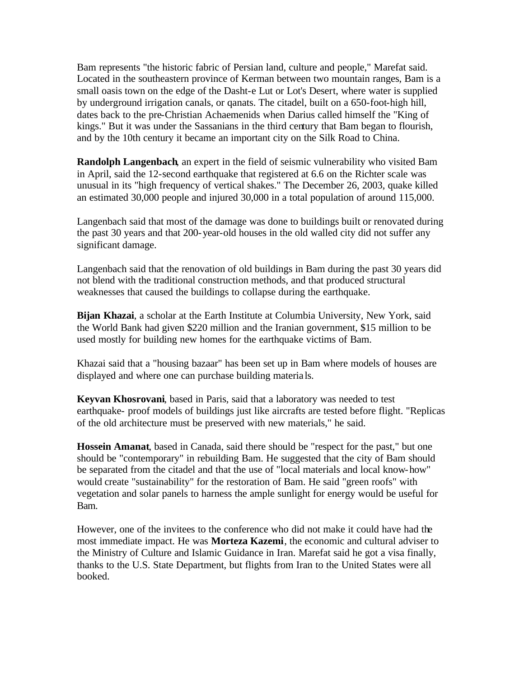Bam represents "the historic fabric of Persian land, culture and people," Marefat said. Located in the southeastern province of Kerman between two mountain ranges, Bam is a small oasis town on the edge of the Dasht-e Lut or Lot's Desert, where water is supplied by underground irrigation canals, or qanats. The citadel, built on a 650-foot-high hill, dates back to the pre-Christian Achaemenids when Darius called himself the "King of kings." But it was under the Sassanians in the third century that Bam began to flourish, and by the 10th century it became an important city on the Silk Road to China.

**Randolph Langenbach**, an expert in the field of seismic vulnerability who visited Bam in April, said the 12-second earthquake that registered at 6.6 on the Richter scale was unusual in its "high frequency of vertical shakes." The December 26, 2003, quake killed an estimated 30,000 people and injured 30,000 in a total population of around 115,000.

Langenbach said that most of the damage was done to buildings built or renovated during the past 30 years and that 200-year-old houses in the old walled city did not suffer any significant damage.

Langenbach said that the renovation of old buildings in Bam during the past 30 years did not blend with the traditional construction methods, and that produced structural weaknesses that caused the buildings to collapse during the earthquake.

**Bijan Khazai**, a scholar at the Earth Institute at Columbia University, New York, said the World Bank had given \$220 million and the Iranian government, \$15 million to be used mostly for building new homes for the earthquake victims of Bam.

Khazai said that a "housing bazaar" has been set up in Bam where models of houses are displayed and where one can purchase building materia ls.

**Keyvan Khosrovani**, based in Paris, said that a laboratory was needed to test earthquake- proof models of buildings just like aircrafts are tested before flight. "Replicas of the old architecture must be preserved with new materials," he said.

**Hossein Amanat**, based in Canada, said there should be "respect for the past," but one should be "contemporary" in rebuilding Bam. He suggested that the city of Bam should be separated from the citadel and that the use of "local materials and local know-how" would create "sustainability" for the restoration of Bam. He said "green roofs" with vegetation and solar panels to harness the ample sunlight for energy would be useful for Bam.

However, one of the invitees to the conference who did not make it could have had the most immediate impact. He was **Morteza Kazemi**, the economic and cultural adviser to the Ministry of Culture and Islamic Guidance in Iran. Marefat said he got a visa finally, thanks to the U.S. State Department, but flights from Iran to the United States were all booked.